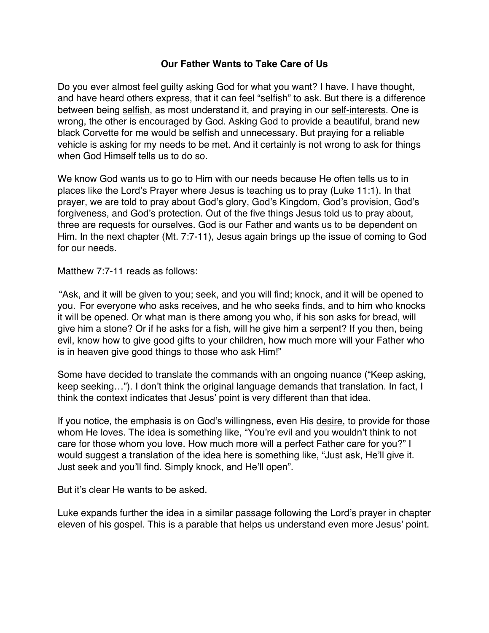## **Our Father Wants to Take Care of Us**

Do you ever almost feel guilty asking God for what you want? I have. I have thought, and have heard others express, that it can feel "selfish" to ask. But there is a difference between being selfish, as most understand it, and praying in our self-interests. One is wrong, the other is encouraged by God. Asking God to provide a beautiful, brand new black Corvette for me would be selfish and unnecessary. But praying for a reliable vehicle is asking for my needs to be met. And it certainly is not wrong to ask for things when God Himself tells us to do so.

We know God wants us to go to Him with our needs because He often tells us to in places like the Lord's Prayer where Jesus is teaching us to pray (Luke 11:1). In that prayer, we are told to pray about God's glory, God's Kingdom, God's provision, God's forgiveness, and God's protection. Out of the five things Jesus told us to pray about, three are requests for ourselves. God is our Father and wants us to be dependent on Him. In the next chapter (Mt. 7:7-11), Jesus again brings up the issue of coming to God for our needs.

Matthew 7:7-11 reads as follows:

"Ask, and it will be given to you; seek, and you will find; knock, and it will be opened to you. For everyone who asks receives, and he who seeks finds, and to him who knocks it will be opened. Or what man is there among you who, if his son asks for bread, will give him a stone? Or if he asks for a fish, will he give him a serpent? If you then, being evil, know how to give good gifts to your children, how much more will your Father who is in heaven give good things to those who ask Him!"

Some have decided to translate the commands with an ongoing nuance ("Keep asking, keep seeking…"). I don't think the original language demands that translation. In fact, I think the context indicates that Jesus' point is very different than that idea.

If you notice, the emphasis is on God's willingness, even His desire, to provide for those whom He loves. The idea is something like, "You're evil and you wouldn't think to not care for those whom you love. How much more will a perfect Father care for you?" I would suggest a translation of the idea here is something like, "Just ask, He'll give it. Just seek and you'll find. Simply knock, and He'll open".

But it's clear He wants to be asked.

Luke expands further the idea in a similar passage following the Lord's prayer in chapter eleven of his gospel. This is a parable that helps us understand even more Jesus' point.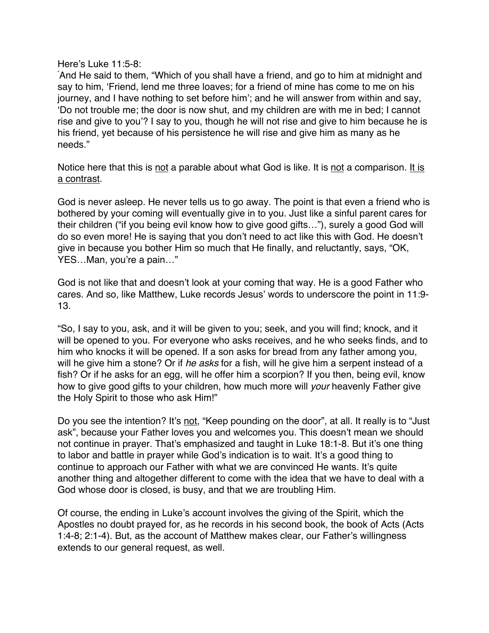Here's Luke 11:5-8:

" And He said to them, "Which of you shall have a friend, and go to him at midnight and say to him, 'Friend, lend me three loaves; for a friend of mine has come to me on his journey, and I have nothing to set before him'; and he will answer from within and say, 'Do not trouble me; the door is now shut, and my children are with me in bed; I cannot rise and give to you'? I say to you, though he will not rise and give to him because he is his friend, yet because of his persistence he will rise and give him as many as he needs."

Notice here that this is not a parable about what God is like. It is not a comparison. It is a contrast.

God is never asleep. He never tells us to go away. The point is that even a friend who is bothered by your coming will eventually give in to you. Just like a sinful parent cares for their children ("if you being evil know how to give good gifts…"), surely a good God will do so even more! He is saying that you don't need to act like this with God. He doesn't give in because you bother Him so much that He finally, and reluctantly, says, "OK, YES…Man, you're a pain…"

God is not like that and doesn't look at your coming that way. He is a good Father who cares. And so, like Matthew, Luke records Jesus' words to underscore the point in 11:9- 13.

"So, I say to you, ask, and it will be given to you; seek, and you will find; knock, and it will be opened to you. For everyone who asks receives, and he who seeks finds, and to him who knocks it will be opened. If a son asks for bread from any father among you, will he give him a stone? Or if *he asks* for a fish, will he give him a serpent instead of a fish? Or if he asks for an egg, will he offer him a scorpion? If you then, being evil, know how to give good gifts to your children, how much more will *your* heavenly Father give the Holy Spirit to those who ask Him!"

Do you see the intention? It's not, "Keep pounding on the door", at all. It really is to "Just ask", because your Father loves you and welcomes you. This doesn't mean we should not continue in prayer. That's emphasized and taught in Luke 18:1-8. But it's one thing to labor and battle in prayer while God's indication is to wait. It's a good thing to continue to approach our Father with what we are convinced He wants. It's quite another thing and altogether different to come with the idea that we have to deal with a God whose door is closed, is busy, and that we are troubling Him.

Of course, the ending in Luke's account involves the giving of the Spirit, which the Apostles no doubt prayed for, as he records in his second book, the book of Acts (Acts 1:4-8; 2:1-4). But, as the account of Matthew makes clear, our Father's willingness extends to our general request, as well.